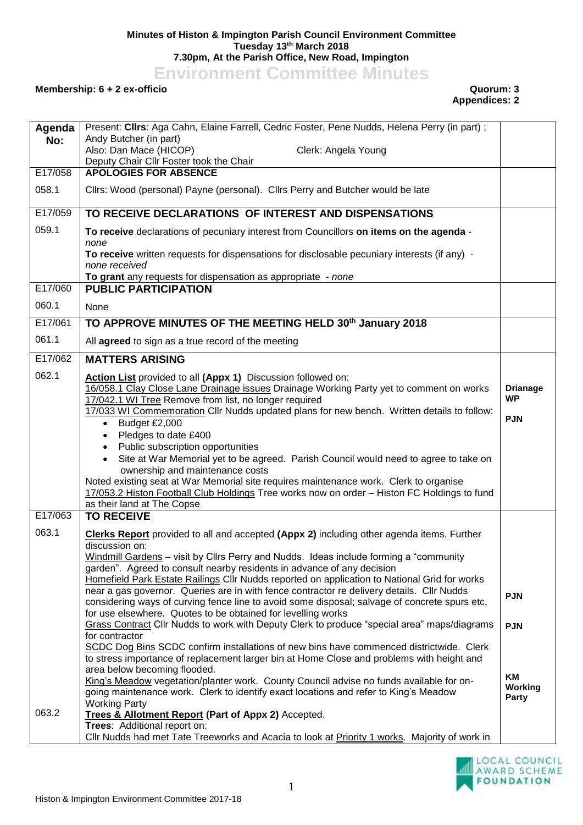## **Minutes of Histon & Impington Parish Council Environment Committee Tuesday 13th March 2018 7.30pm, At the Parish Office, New Road, Impington**

**Environment Committee Minutes**

## **Membership: 6 + 2 ex-officio Quorum: 3**

## **Appendices: 2**

| Agenda  | Present: Cllrs: Aga Cahn, Elaine Farrell, Cedric Foster, Pene Nudds, Helena Perry (in part) ;                                                                                        |                              |
|---------|--------------------------------------------------------------------------------------------------------------------------------------------------------------------------------------|------------------------------|
| No:     | Andy Butcher (in part)<br>Also: Dan Mace (HICOP)<br>Clerk: Angela Young                                                                                                              |                              |
|         | Deputy Chair Cllr Foster took the Chair                                                                                                                                              |                              |
| E17/058 | <b>APOLOGIES FOR ABSENCE</b>                                                                                                                                                         |                              |
| 058.1   | Cllrs: Wood (personal) Payne (personal). Cllrs Perry and Butcher would be late                                                                                                       |                              |
| E17/059 | TO RECEIVE DECLARATIONS OF INTEREST AND DISPENSATIONS                                                                                                                                |                              |
| 059.1   | To receive declarations of pecuniary interest from Councillors on items on the agenda -<br>none                                                                                      |                              |
|         | To receive written requests for dispensations for disclosable pecuniary interests (if any) -<br>none received                                                                        |                              |
|         | To grant any requests for dispensation as appropriate - none                                                                                                                         |                              |
| E17/060 | <b>PUBLIC PARTICIPATION</b>                                                                                                                                                          |                              |
| 060.1   | None                                                                                                                                                                                 |                              |
| E17/061 | TO APPROVE MINUTES OF THE MEETING HELD 30th January 2018                                                                                                                             |                              |
| 061.1   | All agreed to sign as a true record of the meeting                                                                                                                                   |                              |
| E17/062 | <b>MATTERS ARISING</b>                                                                                                                                                               |                              |
| 062.1   | Action List provided to all (Appx 1) Discussion followed on:                                                                                                                         |                              |
|         | 16/058.1 Clay Close Lane Drainage issues Drainage Working Party yet to comment on works<br>17/042.1 WI Tree Remove from list, no longer required                                     | <b>Drianage</b><br><b>WP</b> |
|         | 17/033 WI Commemoration Cllr Nudds updated plans for new bench. Written details to follow:                                                                                           |                              |
|         | Budget £2,000<br>$\bullet$                                                                                                                                                           | <b>PJN</b>                   |
|         | Pledges to date £400<br>$\bullet$                                                                                                                                                    |                              |
|         | Public subscription opportunities<br>$\bullet$                                                                                                                                       |                              |
|         | Site at War Memorial yet to be agreed. Parish Council would need to agree to take on<br>$\bullet$<br>ownership and maintenance costs                                                 |                              |
|         | Noted existing seat at War Memorial site requires maintenance work. Clerk to organise                                                                                                |                              |
|         | 17/053.2 Histon Football Club Holdings Tree works now on order - Histon FC Holdings to fund                                                                                          |                              |
|         | as their land at The Copse                                                                                                                                                           |                              |
| E17/063 | <b>TO RECEIVE</b>                                                                                                                                                                    |                              |
| 063.1   | Clerks Report provided to all and accepted (Appx 2) including other agenda items. Further                                                                                            |                              |
|         | discussion on:<br>Windmill Gardens - visit by Cllrs Perry and Nudds. Ideas include forming a "community                                                                              |                              |
|         | garden". Agreed to consult nearby residents in advance of any decision                                                                                                               |                              |
|         | Homefield Park Estate Railings Cllr Nudds reported on application to National Grid for works                                                                                         |                              |
|         | near a gas governor. Queries are in with fence contractor re delivery details. Cllr Nudds                                                                                            | <b>PJN</b>                   |
|         | considering ways of curving fence line to avoid some disposal; salvage of concrete spurs etc,<br>for use elsewhere. Quotes to be obtained for levelling works                        |                              |
|         | Grass Contract Cllr Nudds to work with Deputy Clerk to produce "special area" maps/diagrams                                                                                          | <b>PJN</b>                   |
|         | for contractor                                                                                                                                                                       |                              |
|         | SCDC Dog Bins SCDC confirm installations of new bins have commenced districtwide. Clerk<br>to stress importance of replacement larger bin at Home Close and problems with height and |                              |
|         | area below becoming flooded.                                                                                                                                                         |                              |
|         | King's Meadow vegetation/planter work. County Council advise no funds available for on-<br>going maintenance work. Clerk to identify exact locations and refer to King's Meadow      | <b>KM</b><br>Working         |
|         | <b>Working Party</b>                                                                                                                                                                 | Party                        |
| 063.2   | Trees & Allotment Report (Part of Appx 2) Accepted.                                                                                                                                  |                              |
|         | Trees: Additional report on:<br>Cllr Nudds had met Tate Treeworks and Acacia to look at Priority 1 works. Majority of work in                                                        |                              |
|         |                                                                                                                                                                                      |                              |

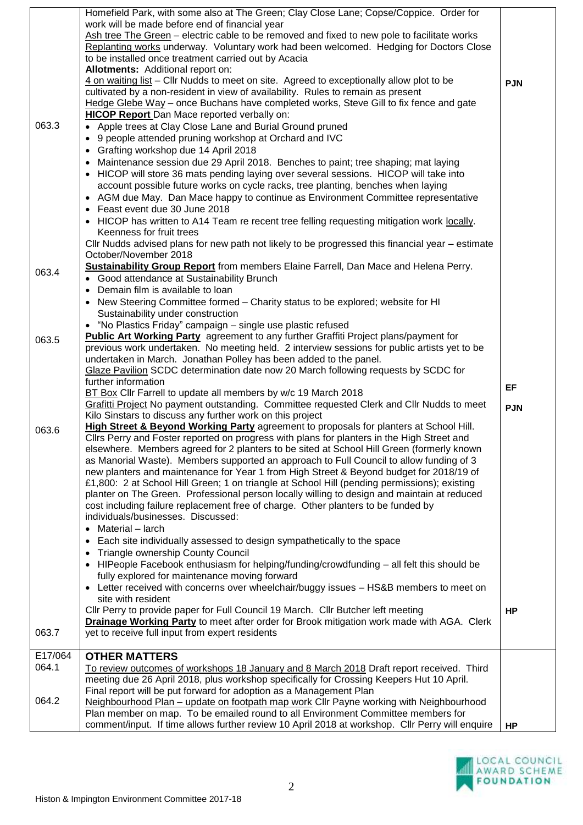|         | Homefield Park, with some also at The Green; Clay Close Lane; Copse/Coppice. Order for                                                                                               |            |
|---------|--------------------------------------------------------------------------------------------------------------------------------------------------------------------------------------|------------|
|         | work will be made before end of financial year<br>Ash tree The Green - electric cable to be removed and fixed to new pole to facilitate works                                        |            |
|         | Replanting works underway. Voluntary work had been welcomed. Hedging for Doctors Close                                                                                               |            |
|         | to be installed once treatment carried out by Acacia                                                                                                                                 |            |
|         | Allotments: Additional report on:                                                                                                                                                    |            |
|         | 4 on waiting list - Cllr Nudds to meet on site. Agreed to exceptionally allow plot to be                                                                                             | <b>PJN</b> |
|         | cultivated by a non-resident in view of availability. Rules to remain as present                                                                                                     |            |
|         | Hedge Glebe Way - once Buchans have completed works, Steve Gill to fix fence and gate                                                                                                |            |
|         | <b>HICOP Report</b> Dan Mace reported verbally on:                                                                                                                                   |            |
| 063.3   | • Apple trees at Clay Close Lane and Burial Ground pruned                                                                                                                            |            |
|         | 9 people attended pruning workshop at Orchard and IVC<br>$\bullet$                                                                                                                   |            |
|         | • Grafting workshop due 14 April 2018                                                                                                                                                |            |
|         | • Maintenance session due 29 April 2018. Benches to paint; tree shaping; mat laying                                                                                                  |            |
|         | • HICOP will store 36 mats pending laying over several sessions. HICOP will take into                                                                                                |            |
|         | account possible future works on cycle racks, tree planting, benches when laying                                                                                                     |            |
|         | • AGM due May. Dan Mace happy to continue as Environment Committee representative                                                                                                    |            |
|         | • Feast event due 30 June 2018<br>• HICOP has written to A14 Team re recent tree felling requesting mitigation work locally.                                                         |            |
|         | Keenness for fruit trees                                                                                                                                                             |            |
|         | CIIr Nudds advised plans for new path not likely to be progressed this financial year - estimate                                                                                     |            |
|         | October/November 2018                                                                                                                                                                |            |
|         | Sustainability Group Report from members Elaine Farrell, Dan Mace and Helena Perry.                                                                                                  |            |
| 063.4   | • Good attendance at Sustainability Brunch                                                                                                                                           |            |
|         | • Demain film is available to loan                                                                                                                                                   |            |
|         | • New Steering Committee formed – Charity status to be explored; website for HI                                                                                                      |            |
|         | Sustainability under construction                                                                                                                                                    |            |
|         | • "No Plastics Friday" campaign - single use plastic refused                                                                                                                         |            |
| 063.5   | <b>Public Art Working Party</b> agreement to any further Graffiti Project plans/payment for                                                                                          |            |
|         | previous work undertaken. No meeting held. 2 interview sessions for public artists yet to be                                                                                         |            |
|         | undertaken in March. Jonathan Polley has been added to the panel.                                                                                                                    |            |
|         | Glaze Pavilion SCDC determination date now 20 March following requests by SCDC for                                                                                                   |            |
|         | further information                                                                                                                                                                  | EF.        |
|         | BT Box Cllr Farrell to update all members by w/c 19 March 2018<br>Grafitti Project No payment outstanding. Committee requested Clerk and Cllr Nudds to meet                          |            |
|         | Kilo Sinstars to discuss any further work on this project                                                                                                                            | <b>PJN</b> |
|         | High Street & Beyond Working Party agreement to proposals for planters at School Hill.                                                                                               |            |
| 063.6   | Cllrs Perry and Foster reported on progress with plans for planters in the High Street and                                                                                           |            |
|         |                                                                                                                                                                                      |            |
|         |                                                                                                                                                                                      |            |
|         | elsewhere. Members agreed for 2 planters to be sited at School Hill Green (formerly known<br>as Manorial Waste). Members supported an approach to Full Council to allow funding of 3 |            |
|         | new planters and maintenance for Year 1 from High Street & Beyond budget for 2018/19 of                                                                                              |            |
|         | £1,800: 2 at School Hill Green; 1 on triangle at School Hill (pending permissions); existing                                                                                         |            |
|         | planter on The Green. Professional person locally willing to design and maintain at reduced                                                                                          |            |
|         | cost including failure replacement free of charge. Other planters to be funded by                                                                                                    |            |
|         | individuals/businesses. Discussed:                                                                                                                                                   |            |
|         | Material - larch                                                                                                                                                                     |            |
|         | Each site individually assessed to design sympathetically to the space                                                                                                               |            |
|         | Triangle ownership County Council<br>$\bullet$                                                                                                                                       |            |
|         | • HIPeople Facebook enthusiasm for helping/funding/crowdfunding - all felt this should be                                                                                            |            |
|         | fully explored for maintenance moving forward                                                                                                                                        |            |
|         | • Letter received with concerns over wheelchair/buggy issues - HS&B members to meet on                                                                                               |            |
|         | site with resident                                                                                                                                                                   | <b>HP</b>  |
|         | Cllr Perry to provide paper for Full Council 19 March. Cllr Butcher left meeting<br>Drainage Working Party to meet after order for Brook mitigation work made with AGA. Clerk        |            |
| 063.7   | yet to receive full input from expert residents                                                                                                                                      |            |
|         |                                                                                                                                                                                      |            |
| E17/064 | <b>OTHER MATTERS</b>                                                                                                                                                                 |            |
| 064.1   | To review outcomes of workshops 18 January and 8 March 2018 Draft report received. Third                                                                                             |            |
|         | meeting due 26 April 2018, plus workshop specifically for Crossing Keepers Hut 10 April.                                                                                             |            |
|         | Final report will be put forward for adoption as a Management Plan                                                                                                                   |            |
| 064.2   | Neighbourhood Plan - update on footpath map work Cllr Payne working with Neighbourhood                                                                                               |            |
|         | Plan member on map. To be emailed round to all Environment Committee members for<br>comment/input. If time allows further review 10 April 2018 at workshop. Cllr Perry will enquire  | <b>HP</b>  |